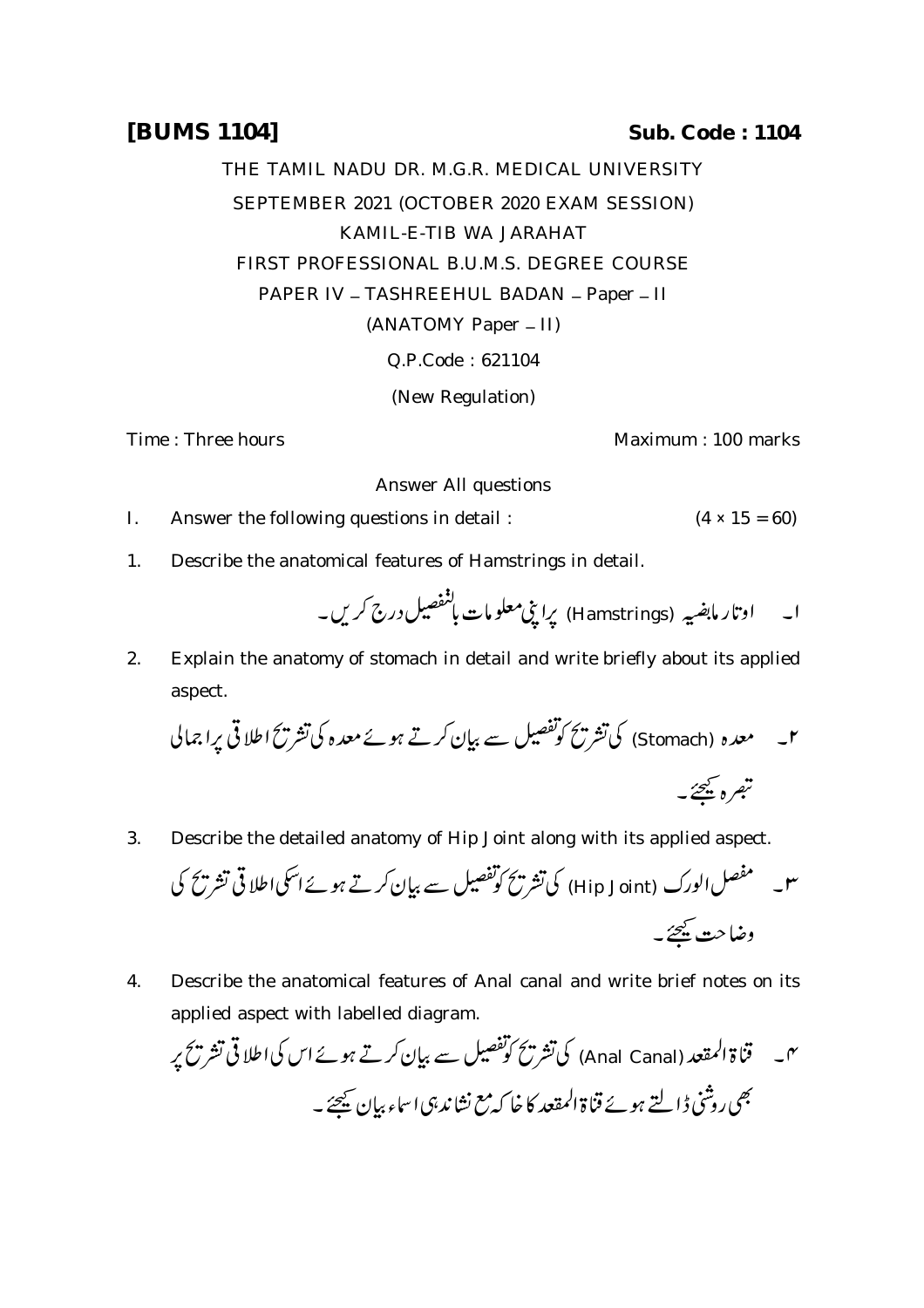## **[BUMS 1104] Sub. Code : 1104**

THE TAMIL NADU DR. M.G.R. MEDICAL UNIVERSITY SEPTEMBER 2021 (OCTOBER 2020 EXAM SESSION) KAMIL-E-TIB WA JARAHAT FIRST PROFESSIONAL B.U.M.S. DEGREE COURSE PAPER IV - TASHREEHUL BADAN - Paper - II (ANATOMY Paper - II) Q.P.Code : 621104 (New Regulation)

Time : Three hours Maximum : 100 marks

Answer All questions

- I. Answer the following questions in detail :  $(4 \times 15 = 60)$
- 1. Describe the anatomical features of Hamstrings in detail.

 (Hamstrings) 

2. Explain the anatomy of stomach in detail and write briefly about its applied aspect.

 (Stomach) 

3. Describe the detailed anatomy of Hip Joint along with its applied aspect.

 (Hip Joint) 

4. Describe the anatomical features of Anal canal and write brief notes on its applied aspect with labelled diagram.

 (Anal Canal)